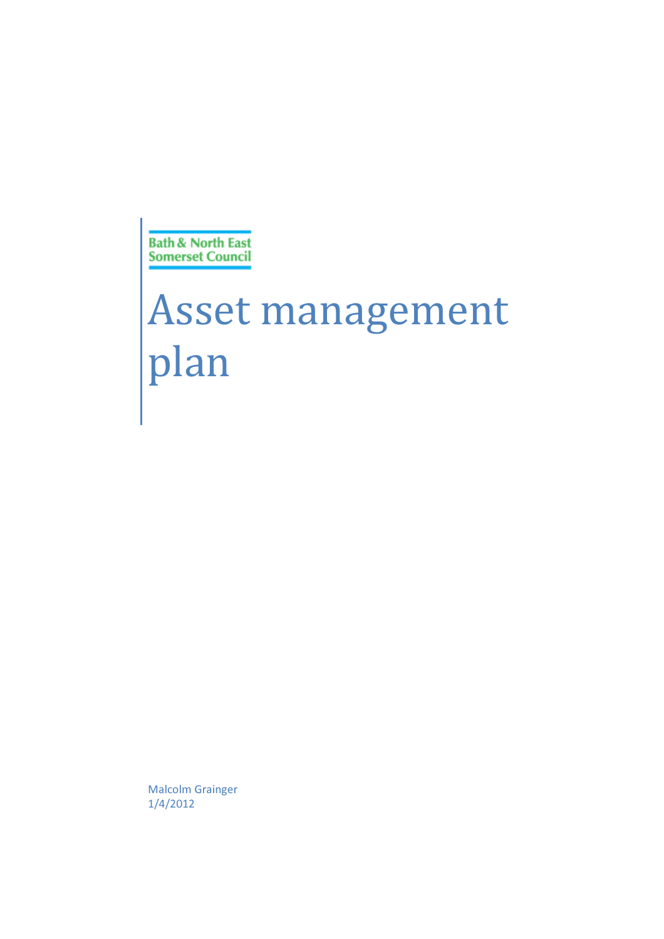**Bath & North East Somerset Council** 

# Asset management plan

Malcolm Grainger 1/4/2012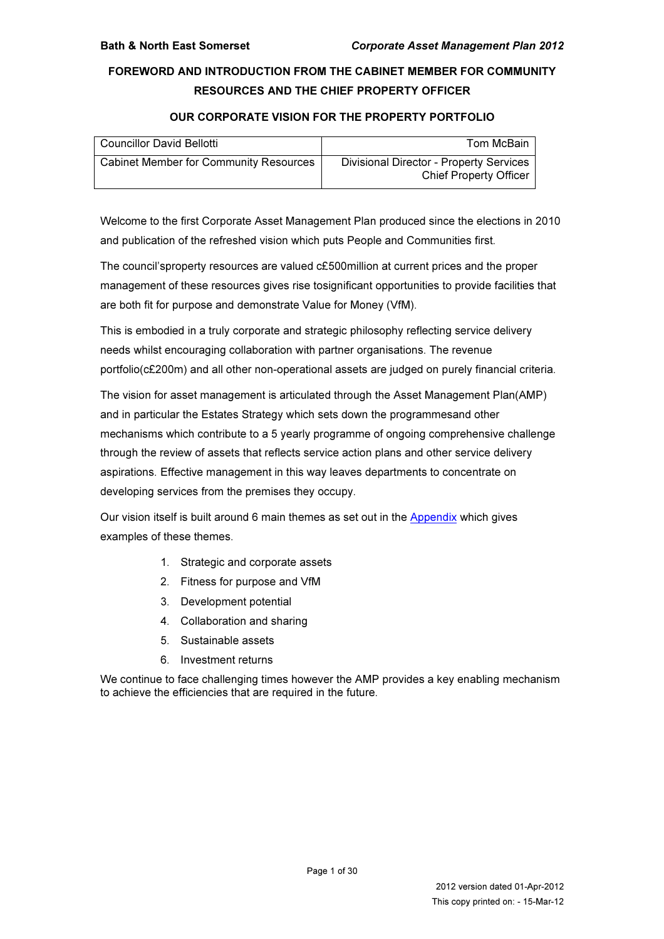### FOREWORD AND INTRODUCTION FROM THE CABINET MEMBER FOR COMMUNITY RESOURCES AND THE CHIEF PROPERTY OFFICER

#### OUR CORPORATE VISION FOR THE PROPERTY PORTFOLIO

| <b>Councillor David Bellotti</b>              | Tom McBain                                                               |
|-----------------------------------------------|--------------------------------------------------------------------------|
| <b>Cabinet Member for Community Resources</b> | Divisional Director - Property Services<br><b>Chief Property Officer</b> |

Welcome to the first Corporate Asset Management Plan produced since the elections in 2010 and publication of the refreshed vision which puts People and Communities first.

The council'sproperty resources are valued c£500million at current prices and the proper management of these resources gives rise tosignificant opportunities to provide facilities that are both fit for purpose and demonstrate Value for Money (VfM).

This is embodied in a truly corporate and strategic philosophy reflecting service delivery needs whilst encouraging collaboration with partner organisations. The revenue portfolio(c£200m) and all other non-operational assets are judged on purely financial criteria.

The vision for asset management is articulated through the Asset Management Plan(AMP) and in particular the Estates Strategy which sets down the programmesand other mechanisms which contribute to a 5 yearly programme of ongoing comprehensive challenge through the review of assets that reflects service action plans and other service delivery aspirations. Effective management in this way leaves departments to concentrate on developing services from the premises they occupy.

Our vision itself is built around 6 main themes as set out in the Appendix which gives examples of these themes.

- 1. Strategic and corporate assets
- 2. Fitness for purpose and VfM
- 3. Development potential
- 4. Collaboration and sharing
- 5. Sustainable assets
- 6. Investment returns

We continue to face challenging times however the AMP provides a key enabling mechanism to achieve the efficiencies that are required in the future.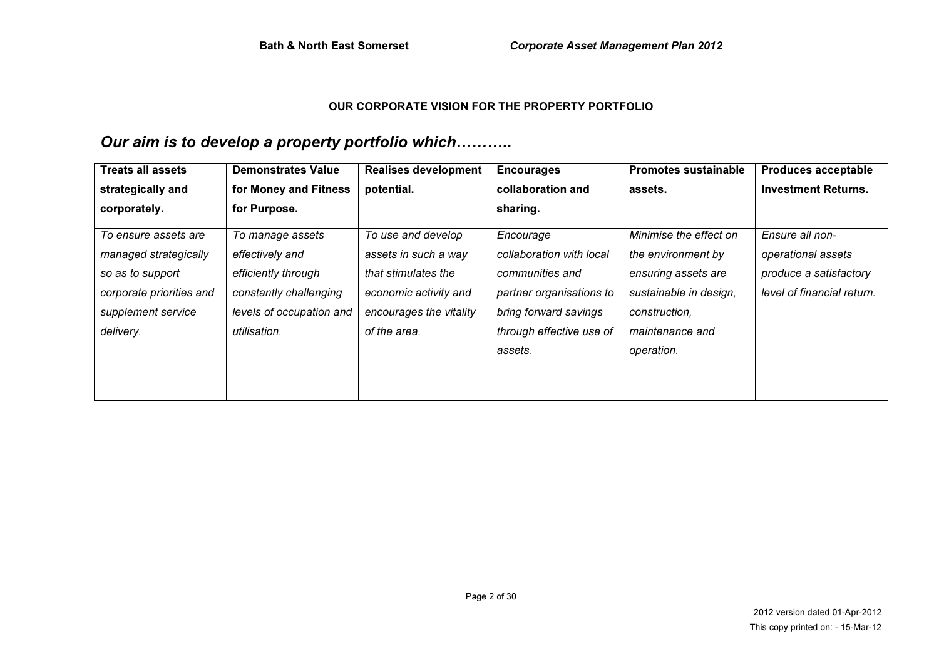#### OUR CORPORATE VISION FOR THE PROPERTY PORTFOLIO

# Our aim is to develop a property portfolio which………..

| <b>Treats all assets</b>                                                                                                         | <b>Demonstrates Value</b>                                                                                                        | <b>Realises development</b>                                                                                                           | <b>Encourages</b>                                                                                                                                    | <b>Promotes sustainable</b>                                                                                                                     | <b>Produces acceptable</b>                                                                    |
|----------------------------------------------------------------------------------------------------------------------------------|----------------------------------------------------------------------------------------------------------------------------------|---------------------------------------------------------------------------------------------------------------------------------------|------------------------------------------------------------------------------------------------------------------------------------------------------|-------------------------------------------------------------------------------------------------------------------------------------------------|-----------------------------------------------------------------------------------------------|
| strategically and                                                                                                                | for Money and Fitness                                                                                                            | potential.                                                                                                                            | collaboration and                                                                                                                                    | assets.                                                                                                                                         | <b>Investment Returns.</b>                                                                    |
| corporately.                                                                                                                     | for Purpose.                                                                                                                     |                                                                                                                                       | sharing.                                                                                                                                             |                                                                                                                                                 |                                                                                               |
| To ensure assets are<br>managed strategically<br>so as to support<br>corporate priorities and<br>supplement service<br>delivery. | To manage assets<br>effectively and<br>efficiently through<br>constantly challenging<br>levels of occupation and<br>utilisation. | To use and develop<br>assets in such a way<br>that stimulates the<br>economic activity and<br>encourages the vitality<br>of the area. | Encourage<br>collaboration with local<br>communities and<br>partner organisations to<br>bring forward savings<br>through effective use of<br>assets. | Minimise the effect on<br>the environment by<br>ensuring assets are<br>sustainable in design,<br>construction,<br>maintenance and<br>operation. | Ensure all non-<br>operational assets<br>produce a satisfactory<br>level of financial return. |
|                                                                                                                                  |                                                                                                                                  |                                                                                                                                       |                                                                                                                                                      |                                                                                                                                                 |                                                                                               |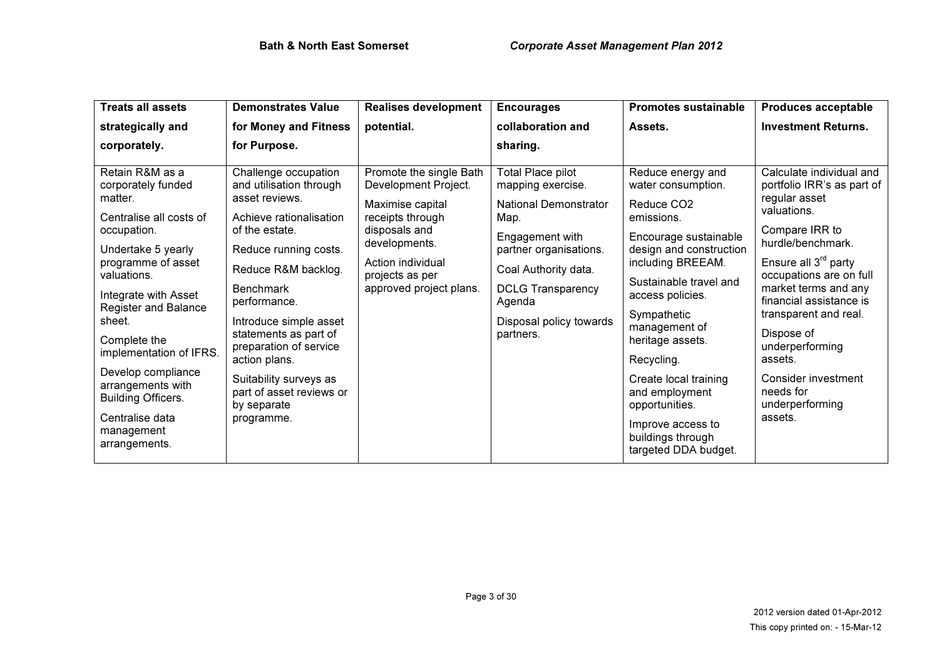| <b>Treats all assets</b>                                                                                                                                                                                                                                                                                                                                                                    | <b>Demonstrates Value</b>                                                                                                                                                                                                                                                                                                                                                           | <b>Realises development</b>                                                                                                                                                                  | <b>Encourages</b>                                                                                                                                                                                                                        | <b>Promotes sustainable</b>                                                                                                                                                                                                                                                                                                                                                                             | <b>Produces acceptable</b>                                                                                                                                                                                                                                                                                                                                                      |
|---------------------------------------------------------------------------------------------------------------------------------------------------------------------------------------------------------------------------------------------------------------------------------------------------------------------------------------------------------------------------------------------|-------------------------------------------------------------------------------------------------------------------------------------------------------------------------------------------------------------------------------------------------------------------------------------------------------------------------------------------------------------------------------------|----------------------------------------------------------------------------------------------------------------------------------------------------------------------------------------------|------------------------------------------------------------------------------------------------------------------------------------------------------------------------------------------------------------------------------------------|---------------------------------------------------------------------------------------------------------------------------------------------------------------------------------------------------------------------------------------------------------------------------------------------------------------------------------------------------------------------------------------------------------|---------------------------------------------------------------------------------------------------------------------------------------------------------------------------------------------------------------------------------------------------------------------------------------------------------------------------------------------------------------------------------|
| strategically and                                                                                                                                                                                                                                                                                                                                                                           | for Money and Fitness                                                                                                                                                                                                                                                                                                                                                               | potential.                                                                                                                                                                                   | collaboration and                                                                                                                                                                                                                        | Assets.                                                                                                                                                                                                                                                                                                                                                                                                 | <b>Investment Returns.</b>                                                                                                                                                                                                                                                                                                                                                      |
| corporately.                                                                                                                                                                                                                                                                                                                                                                                | for Purpose.                                                                                                                                                                                                                                                                                                                                                                        |                                                                                                                                                                                              | sharing.                                                                                                                                                                                                                                 |                                                                                                                                                                                                                                                                                                                                                                                                         |                                                                                                                                                                                                                                                                                                                                                                                 |
| Retain R&M as a<br>corporately funded<br>matter.<br>Centralise all costs of<br>occupation.<br>Undertake 5 yearly<br>programme of asset<br>valuations.<br>Integrate with Asset<br><b>Register and Balance</b><br>sheet.<br>Complete the<br>implementation of IFRS.<br>Develop compliance<br>arrangements with<br><b>Building Officers.</b><br>Centralise data<br>management<br>arrangements. | Challenge occupation<br>and utilisation through<br>asset reviews.<br>Achieve rationalisation<br>of the estate.<br>Reduce running costs.<br>Reduce R&M backlog.<br><b>Benchmark</b><br>performance.<br>Introduce simple asset<br>statements as part of<br>preparation of service<br>action plans.<br>Suitability surveys as<br>part of asset reviews or<br>by separate<br>programme. | Promote the single Bath<br>Development Project.<br>Maximise capital<br>receipts through<br>disposals and<br>developments.<br>Action individual<br>projects as per<br>approved project plans. | <b>Total Place pilot</b><br>mapping exercise.<br><b>National Demonstrator</b><br>Map.<br>Engagement with<br>partner organisations.<br>Coal Authority data.<br><b>DCLG Transparency</b><br>Agenda<br>Disposal policy towards<br>partners. | Reduce energy and<br>water consumption.<br>Reduce CO <sub>2</sub><br>emissions.<br>Encourage sustainable<br>design and construction<br>including BREEAM.<br>Sustainable travel and<br>access policies.<br>Sympathetic<br>management of<br>heritage assets.<br>Recycling.<br>Create local training<br>and employment<br>opportunities.<br>Improve access to<br>buildings through<br>targeted DDA budget. | Calculate individual and<br>portfolio IRR's as part of<br>regular asset<br>valuations.<br>Compare IRR to<br>hurdle/benchmark.<br>Ensure all $3^{rd}$ party<br>occupations are on full<br>market terms and any<br>financial assistance is<br>transparent and real.<br>Dispose of<br>underperforming<br>assets.<br>Consider investment<br>needs for<br>underperforming<br>assets. |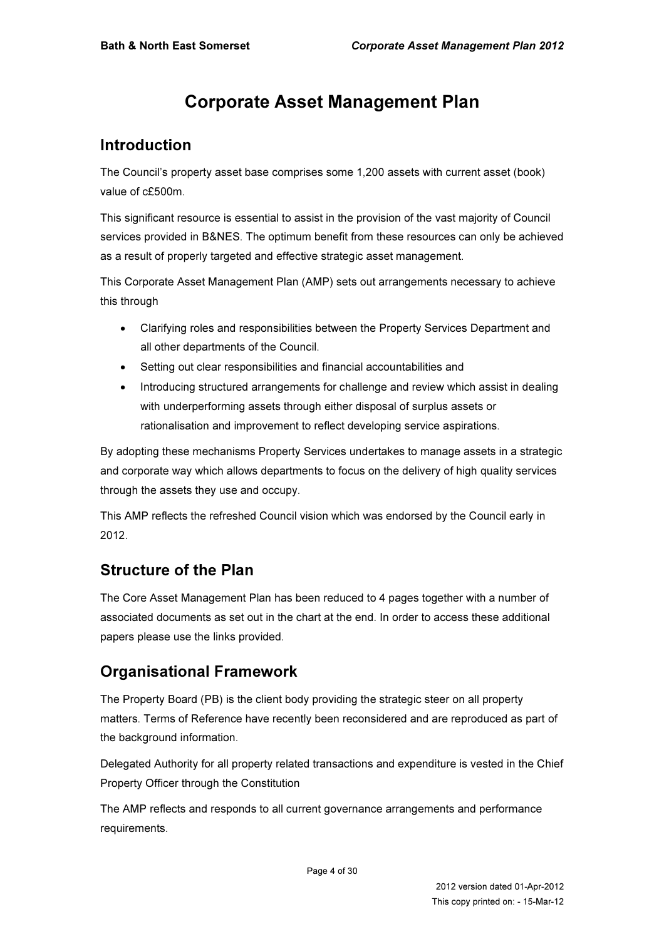# Corporate Asset Management Plan

# Introduction

The Council's property asset base comprises some 1,200 assets with current asset (book) value of c£500m.

This significant resource is essential to assist in the provision of the vast majority of Council services provided in B&NES. The optimum benefit from these resources can only be achieved as a result of properly targeted and effective strategic asset management.

This Corporate Asset Management Plan (AMP) sets out arrangements necessary to achieve this through

- Clarifying roles and responsibilities between the Property Services Department and all other departments of the Council.
- Setting out clear responsibilities and financial accountabilities and
- Introducing structured arrangements for challenge and review which assist in dealing with underperforming assets through either disposal of surplus assets or rationalisation and improvement to reflect developing service aspirations.

By adopting these mechanisms Property Services undertakes to manage assets in a strategic and corporate way which allows departments to focus on the delivery of high quality services through the assets they use and occupy.

This AMP reflects the refreshed Council vision which was endorsed by the Council early in 2012.

# Structure of the Plan

The Core Asset Management Plan has been reduced to 4 pages together with a number of associated documents as set out in the chart at the end. In order to access these additional papers please use the links provided.

# Organisational Framework

The Property Board (PB) is the client body providing the strategic steer on all property matters. Terms of Reference have recently been reconsidered and are reproduced as part of the background information.

Delegated Authority for all property related transactions and expenditure is vested in the Chief Property Officer through the Constitution

The AMP reflects and responds to all current governance arrangements and performance requirements.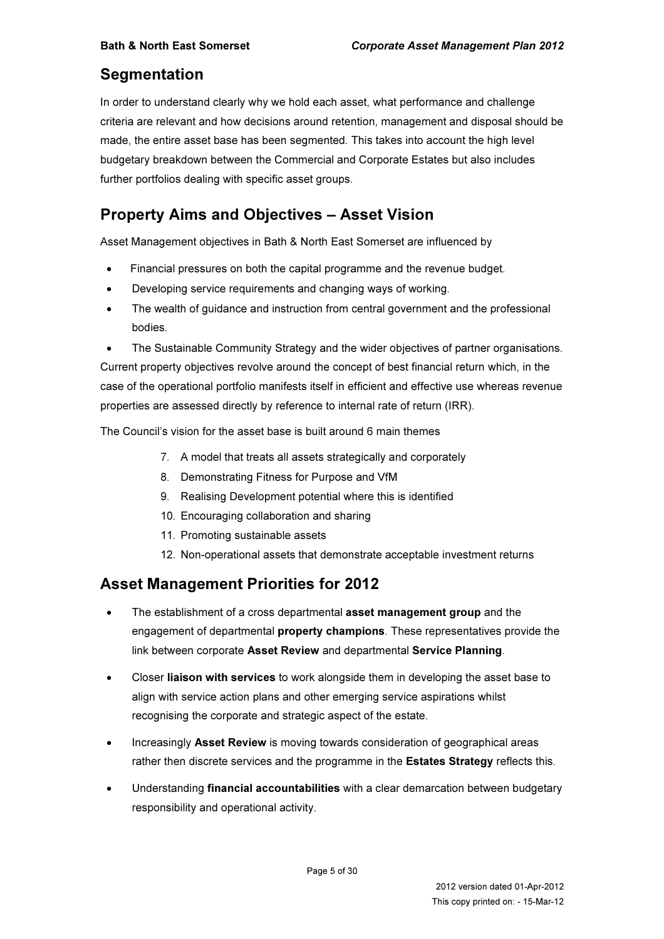# **Segmentation**

In order to understand clearly why we hold each asset, what performance and challenge criteria are relevant and how decisions around retention, management and disposal should be made, the entire asset base has been segmented. This takes into account the high level budgetary breakdown between the Commercial and Corporate Estates but also includes further portfolios dealing with specific asset groups.

# Property Aims and Objectives – Asset Vision

Asset Management objectives in Bath & North East Somerset are influenced by

- Financial pressures on both the capital programme and the revenue budget.
- Developing service requirements and changing ways of working.
- The wealth of guidance and instruction from central government and the professional bodies.
- The Sustainable Community Strategy and the wider objectives of partner organisations. Current property objectives revolve around the concept of best financial return which, in the case of the operational portfolio manifests itself in efficient and effective use whereas revenue properties are assessed directly by reference to internal rate of return (IRR).

The Council's vision for the asset base is built around 6 main themes

- 7. A model that treats all assets strategically and corporately
- 8. Demonstrating Fitness for Purpose and VfM
- 9. Realising Development potential where this is identified
- 10. Encouraging collaboration and sharing
- 11. Promoting sustainable assets
- 12. Non-operational assets that demonstrate acceptable investment returns

# Asset Management Priorities for 2012

- The establishment of a cross departmental asset management group and the engagement of departmental **property champions**. These representatives provide the link between corporate Asset Review and departmental Service Planning.
- Closer liaison with services to work alongside them in developing the asset base to align with service action plans and other emerging service aspirations whilst recognising the corporate and strategic aspect of the estate.
- Increasingly Asset Review is moving towards consideration of geographical areas rather then discrete services and the programme in the **Estates Strategy** reflects this.
- Understanding **financial accountabilities** with a clear demarcation between budgetary responsibility and operational activity.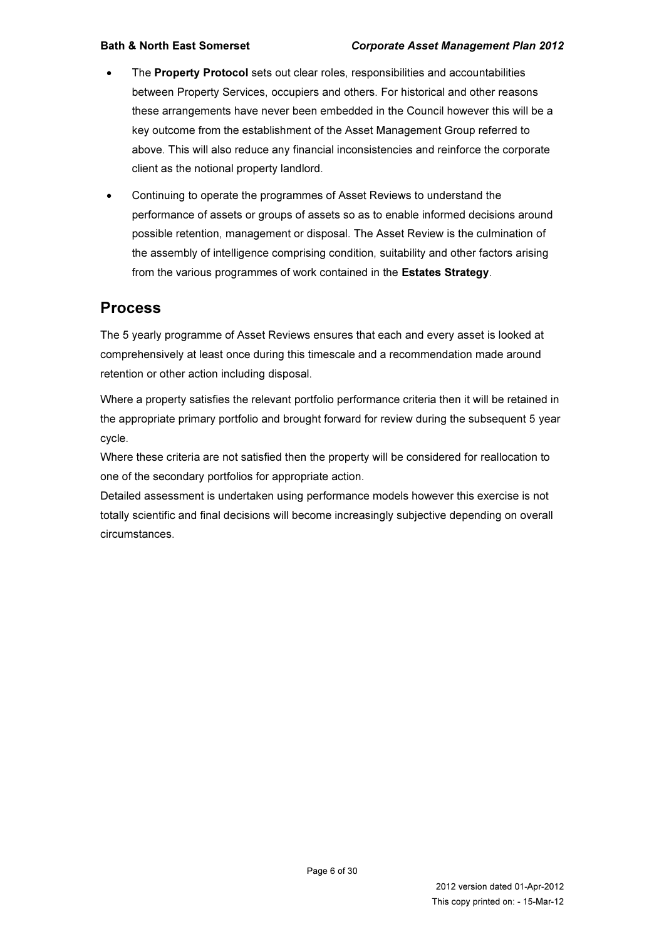- The **Property Protocol** sets out clear roles, responsibilities and accountabilities between Property Services, occupiers and others. For historical and other reasons these arrangements have never been embedded in the Council however this will be a key outcome from the establishment of the Asset Management Group referred to above. This will also reduce any financial inconsistencies and reinforce the corporate client as the notional property landlord.
- Continuing to operate the programmes of Asset Reviews to understand the performance of assets or groups of assets so as to enable informed decisions around possible retention, management or disposal. The Asset Review is the culmination of the assembly of intelligence comprising condition, suitability and other factors arising from the various programmes of work contained in the Estates Strategy.

### Process

The 5 yearly programme of Asset Reviews ensures that each and every asset is looked at comprehensively at least once during this timescale and a recommendation made around retention or other action including disposal.

Where a property satisfies the relevant portfolio performance criteria then it will be retained in the appropriate primary portfolio and brought forward for review during the subsequent 5 year cycle.

Where these criteria are not satisfied then the property will be considered for reallocation to one of the secondary portfolios for appropriate action.

Detailed assessment is undertaken using performance models however this exercise is not totally scientific and final decisions will become increasingly subjective depending on overall circumstances.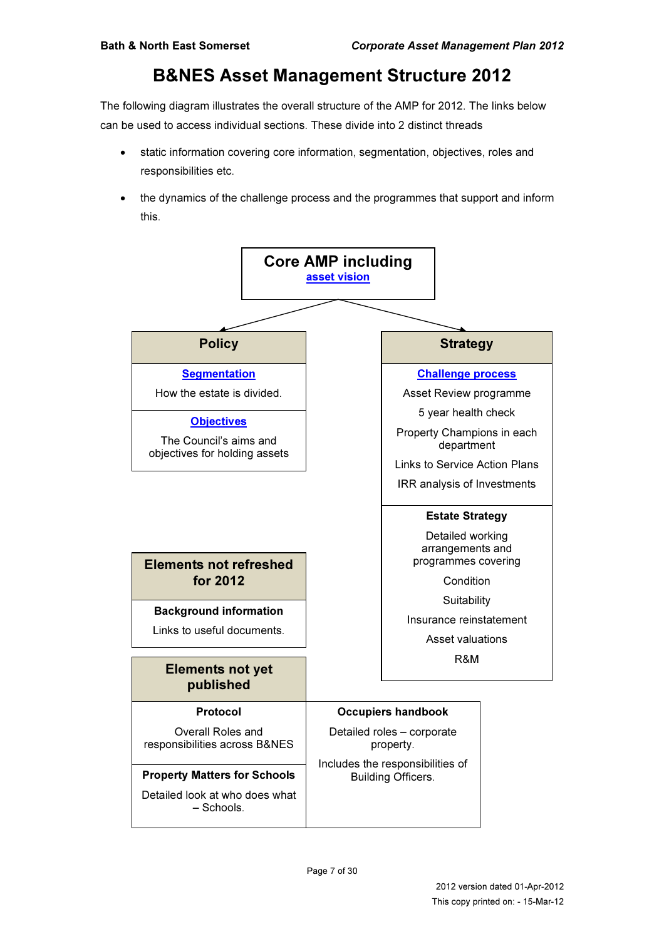# B&NES Asset Management Structure 2012

The following diagram illustrates the overall structure of the AMP for 2012. The links below can be used to access individual sections. These divide into 2 distinct threads

- static information covering core information, segmentation, objectives, roles and responsibilities etc.
- the dynamics of the challenge process and the programmes that support and inform this.

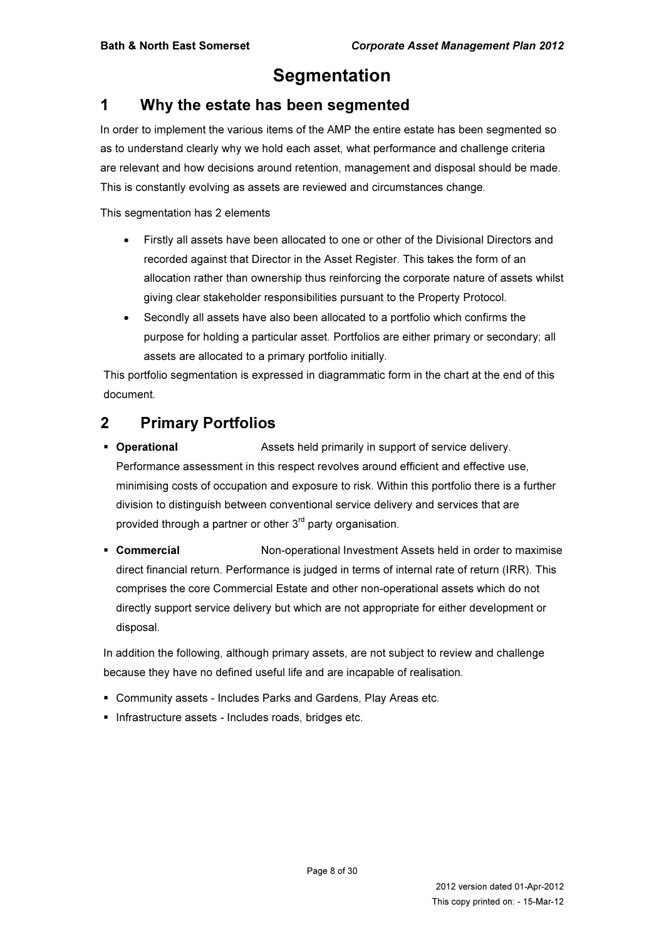# **Segmentation**

# 1 Why the estate has been segmented

In order to implement the various items of the AMP the entire estate has been segmented so as to understand clearly why we hold each asset, what performance and challenge criteria are relevant and how decisions around retention, management and disposal should be made. This is constantly evolving as assets are reviewed and circumstances change.

This segmentation has 2 elements

- Firstly all assets have been allocated to one or other of the Divisional Directors and recorded against that Director in the Asset Register. This takes the form of an allocation rather than ownership thus reinforcing the corporate nature of assets whilst giving clear stakeholder responsibilities pursuant to the Property Protocol.
- Secondly all assets have also been allocated to a portfolio which confirms the purpose for holding a particular asset. Portfolios are either primary or secondary; all assets are allocated to a primary portfolio initially.

This portfolio segmentation is expressed in diagrammatic form in the chart at the end of this document.

# 2 Primary Portfolios

- **Derational** Assets held primarily in support of service delivery. Performance assessment in this respect revolves around efficient and effective use, minimising costs of occupation and exposure to risk. Within this portfolio there is a further division to distinguish between conventional service delivery and services that are provided through a partner or other  $3<sup>rd</sup>$  party organisation.
- **Commercial State Commercial Non-operational Investment Assets held in order to maximise** direct financial return. Performance is judged in terms of internal rate of return (IRR). This comprises the core Commercial Estate and other non-operational assets which do not directly support service delivery but which are not appropriate for either development or disposal.

In addition the following, although primary assets, are not subject to review and challenge because they have no defined useful life and are incapable of realisation.

- Community assets Includes Parks and Gardens, Play Areas etc.
- **Infrastructure assets Includes roads, bridges etc.**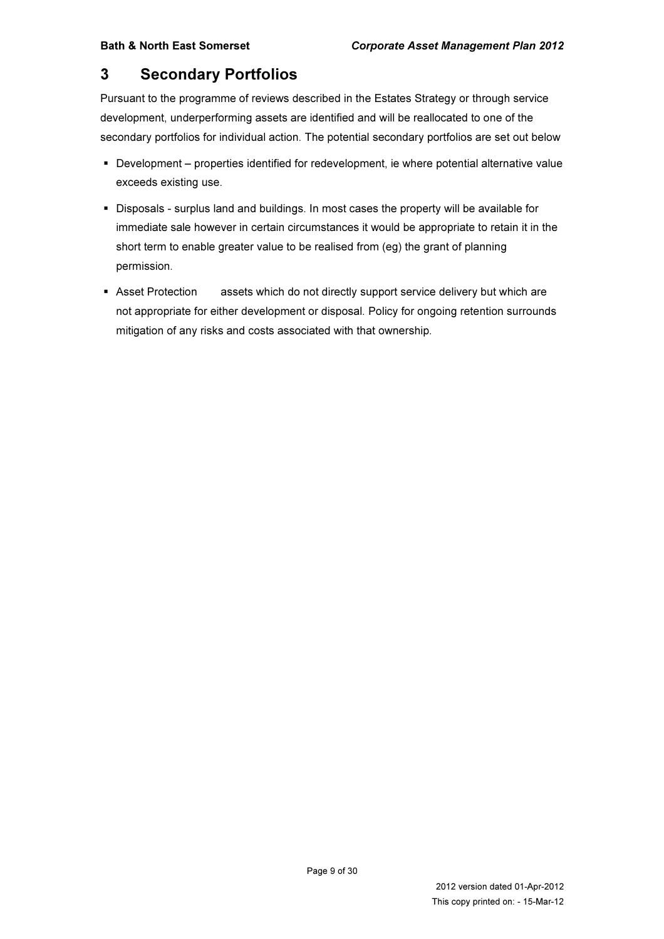# 3 Secondary Portfolios

Pursuant to the programme of reviews described in the Estates Strategy or through service development, underperforming assets are identified and will be reallocated to one of the secondary portfolios for individual action. The potential secondary portfolios are set out below

- Development properties identified for redevelopment, ie where potential alternative value exceeds existing use.
- Disposals surplus land and buildings. In most cases the property will be available for immediate sale however in certain circumstances it would be appropriate to retain it in the short term to enable greater value to be realised from (eg) the grant of planning permission.
- **Asset Protection** assets which do not directly support service delivery but which are not appropriate for either development or disposal. Policy for ongoing retention surrounds mitigation of any risks and costs associated with that ownership.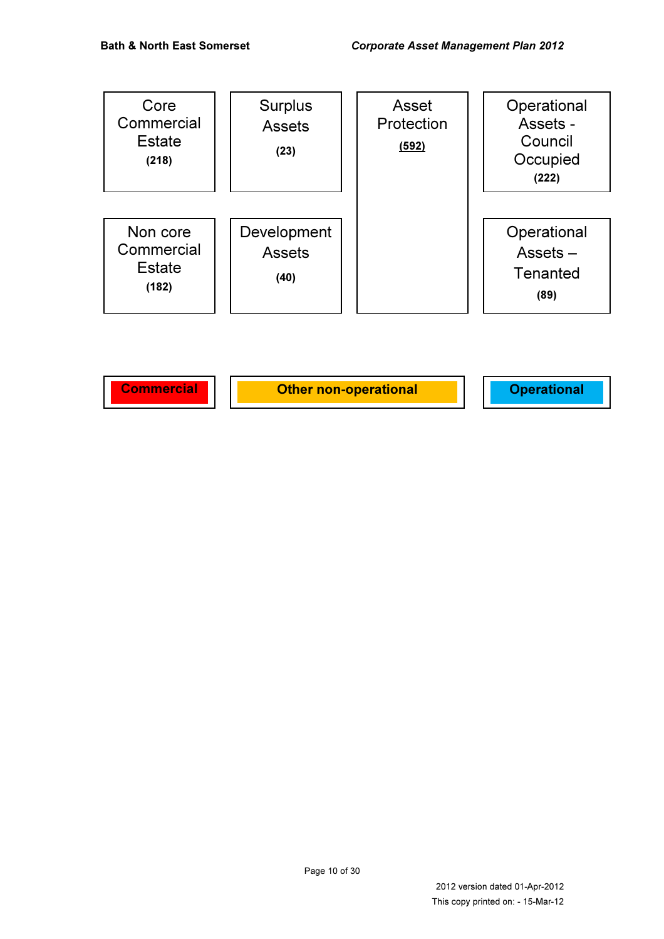| Core<br>Commercial<br><b>Estate</b><br>(218)     | <b>Surplus</b><br><b>Assets</b><br>(23) | Asset<br>Protection<br>(592) | Operational<br>Assets -<br>Council<br>Occupied<br>(222) |
|--------------------------------------------------|-----------------------------------------|------------------------------|---------------------------------------------------------|
| Non core<br>Commercial<br><b>Estate</b><br>(182) | Development<br><b>Assets</b><br>(40)    |                              | Operational<br>$Assets -$<br>Tenanted<br>(89)           |

Commercial | Other non-operational | Operational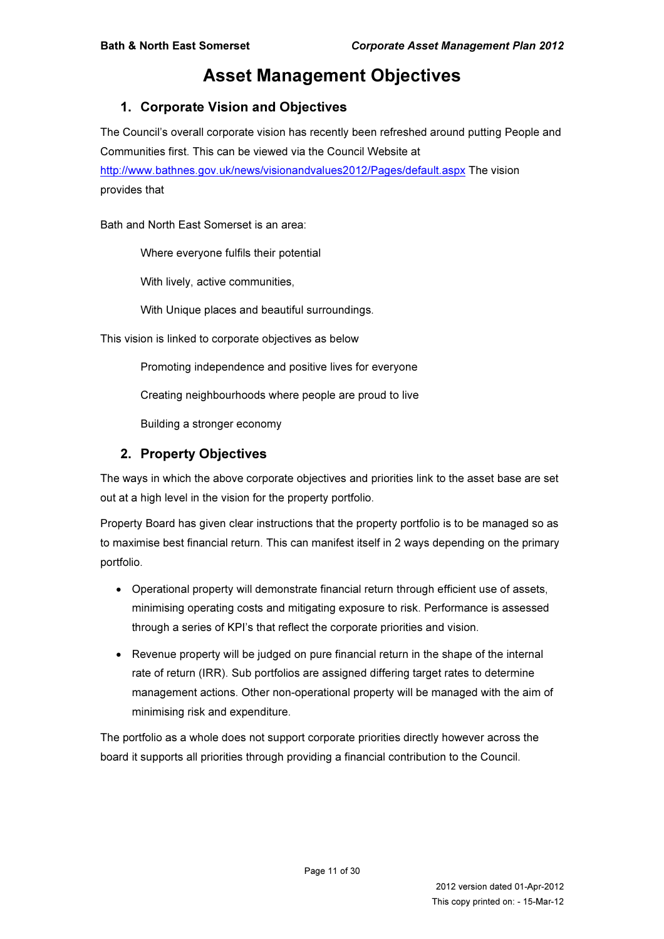# Asset Management Objectives

### 1. Corporate Vision and Objectives

The Council's overall corporate vision has recently been refreshed around putting People and Communities first. This can be viewed via the Council Website at http://www.bathnes.gov.uk/news/visionandvalues2012/Pages/default.aspx The vision provides that

Bath and North East Somerset is an area:

Where everyone fulfils their potential

With lively, active communities,

With Unique places and beautiful surroundings.

This vision is linked to corporate objectives as below

Promoting independence and positive lives for everyone

Creating neighbourhoods where people are proud to live

Building a stronger economy

#### 2. Property Objectives

The ways in which the above corporate objectives and priorities link to the asset base are set out at a high level in the vision for the property portfolio.

Property Board has given clear instructions that the property portfolio is to be managed so as to maximise best financial return. This can manifest itself in 2 ways depending on the primary portfolio.

- Operational property will demonstrate financial return through efficient use of assets, minimising operating costs and mitigating exposure to risk. Performance is assessed through a series of KPI's that reflect the corporate priorities and vision.
- Revenue property will be judged on pure financial return in the shape of the internal rate of return (IRR). Sub portfolios are assigned differing target rates to determine management actions. Other non-operational property will be managed with the aim of minimising risk and expenditure.

The portfolio as a whole does not support corporate priorities directly however across the board it supports all priorities through providing a financial contribution to the Council.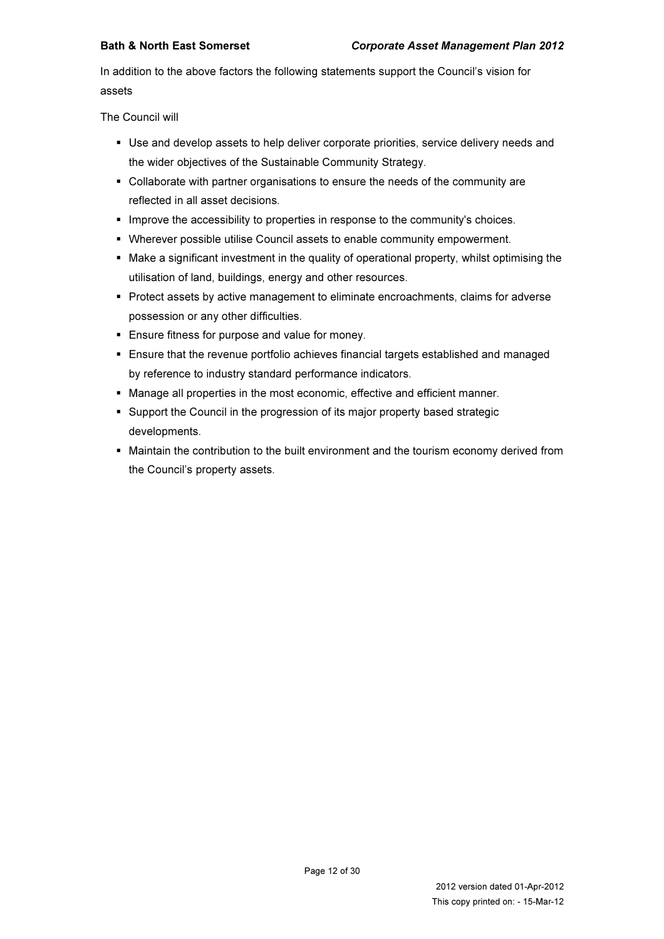In addition to the above factors the following statements support the Council's vision for assets

The Council will

- Use and develop assets to help deliver corporate priorities, service delivery needs and the wider objectives of the Sustainable Community Strategy.
- Collaborate with partner organisations to ensure the needs of the community are reflected in all asset decisions.
- **Improve the accessibility to properties in response to the community's choices.**
- Wherever possible utilise Council assets to enable community empowerment.
- Make a significant investment in the quality of operational property, whilst optimising the utilisation of land, buildings, energy and other resources.
- **Protect assets by active management to eliminate encroachments, claims for adverse** possession or any other difficulties.
- **Ensure fitness for purpose and value for money.**
- Ensure that the revenue portfolio achieves financial targets established and managed by reference to industry standard performance indicators.
- Manage all properties in the most economic, effective and efficient manner.
- Support the Council in the progression of its major property based strategic developments.
- Maintain the contribution to the built environment and the tourism economy derived from the Council's property assets.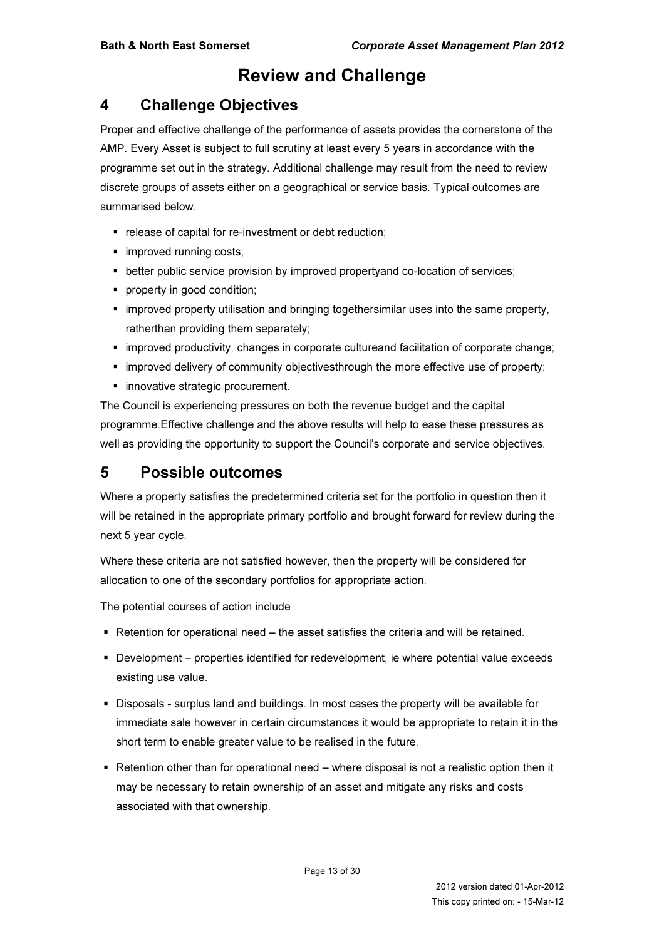# Review and Challenge

# 4 Challenge Objectives

Proper and effective challenge of the performance of assets provides the cornerstone of the AMP. Every Asset is subject to full scrutiny at least every 5 years in accordance with the programme set out in the strategy. Additional challenge may result from the need to review discrete groups of assets either on a geographical or service basis. Typical outcomes are summarised below.

- release of capital for re-investment or debt reduction;
- **improved running costs;**
- **better public service provision by improved propertyand co-location of services;**
- **•** property in good condition;
- **Inf** improved property utilisation and bringing togethersimilar uses into the same property, ratherthan providing them separately;
- improved productivity, changes in corporate cultureand facilitation of corporate change;
- improved delivery of community objectivesthrough the more effective use of property;
- **innovative strategic procurement.**

The Council is experiencing pressures on both the revenue budget and the capital programme.Effective challenge and the above results will help to ease these pressures as well as providing the opportunity to support the Council's corporate and service objectives.

# 5 Possible outcomes

Where a property satisfies the predetermined criteria set for the portfolio in question then it will be retained in the appropriate primary portfolio and brought forward for review during the next 5 year cycle.

Where these criteria are not satisfied however, then the property will be considered for allocation to one of the secondary portfolios for appropriate action.

The potential courses of action include

- Retention for operational need the asset satisfies the criteria and will be retained.
- Development properties identified for redevelopment, ie where potential value exceeds existing use value.
- Disposals surplus land and buildings. In most cases the property will be available for immediate sale however in certain circumstances it would be appropriate to retain it in the short term to enable greater value to be realised in the future.
- Retention other than for operational need where disposal is not a realistic option then it may be necessary to retain ownership of an asset and mitigate any risks and costs associated with that ownership.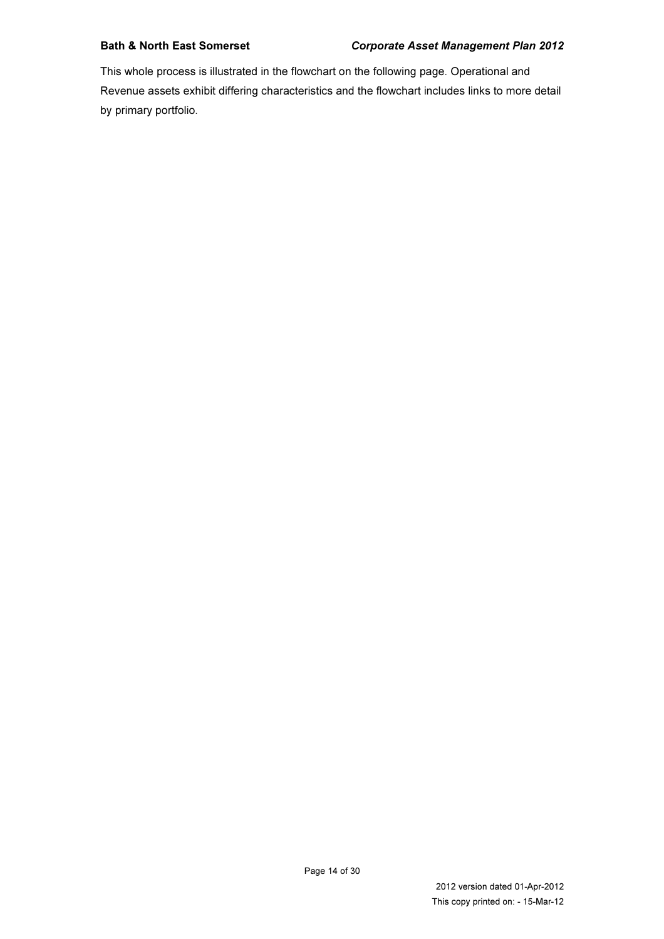This whole process is illustrated in the flowchart on the following page. Operational and Revenue assets exhibit differing characteristics and the flowchart includes links to more detail by primary portfolio.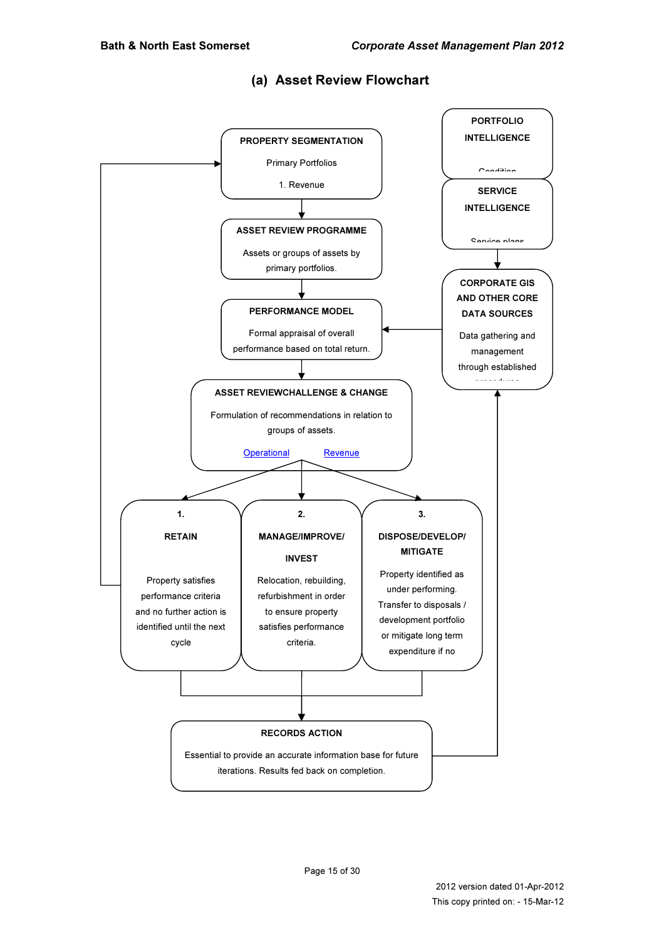

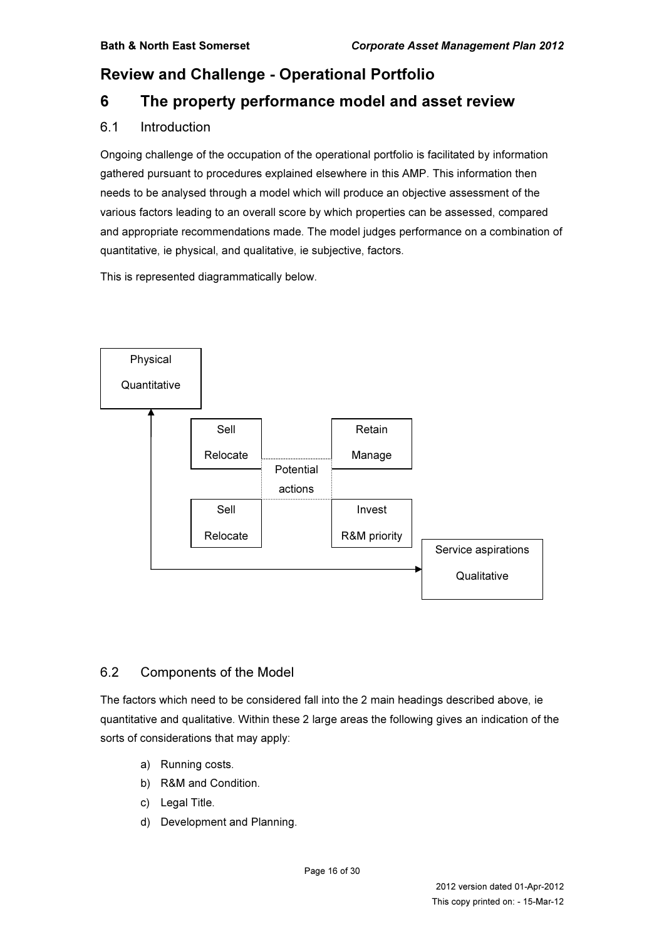# Review and Challenge - Operational Portfolio

# 6 The property performance model and asset review

#### 6.1 Introduction

Ongoing challenge of the occupation of the operational portfolio is facilitated by information gathered pursuant to procedures explained elsewhere in this AMP. This information then needs to be analysed through a model which will produce an objective assessment of the various factors leading to an overall score by which properties can be assessed, compared and appropriate recommendations made. The model judges performance on a combination of quantitative, ie physical, and qualitative, ie subjective, factors.

This is represented diagrammatically below.



### 6.2 Components of the Model

The factors which need to be considered fall into the 2 main headings described above, ie quantitative and qualitative. Within these 2 large areas the following gives an indication of the sorts of considerations that may apply:

- a) Running costs.
- b) R&M and Condition.
- c) Legal Title.
- d) Development and Planning.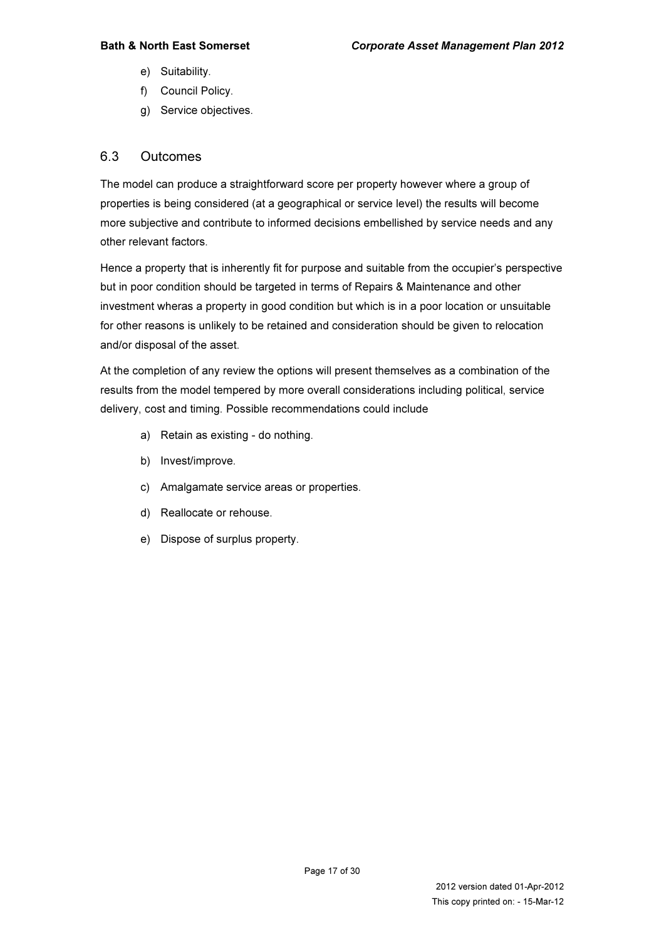- e) Suitability.
- f) Council Policy.
- g) Service objectives.

#### 6.3 Outcomes

The model can produce a straightforward score per property however where a group of properties is being considered (at a geographical or service level) the results will become more subjective and contribute to informed decisions embellished by service needs and any other relevant factors.

Hence a property that is inherently fit for purpose and suitable from the occupier's perspective but in poor condition should be targeted in terms of Repairs & Maintenance and other investment wheras a property in good condition but which is in a poor location or unsuitable for other reasons is unlikely to be retained and consideration should be given to relocation and/or disposal of the asset.

At the completion of any review the options will present themselves as a combination of the results from the model tempered by more overall considerations including political, service delivery, cost and timing. Possible recommendations could include

- a) Retain as existing do nothing.
- b) Invest/improve.
- c) Amalgamate service areas or properties.
- d) Reallocate or rehouse.
- e) Dispose of surplus property.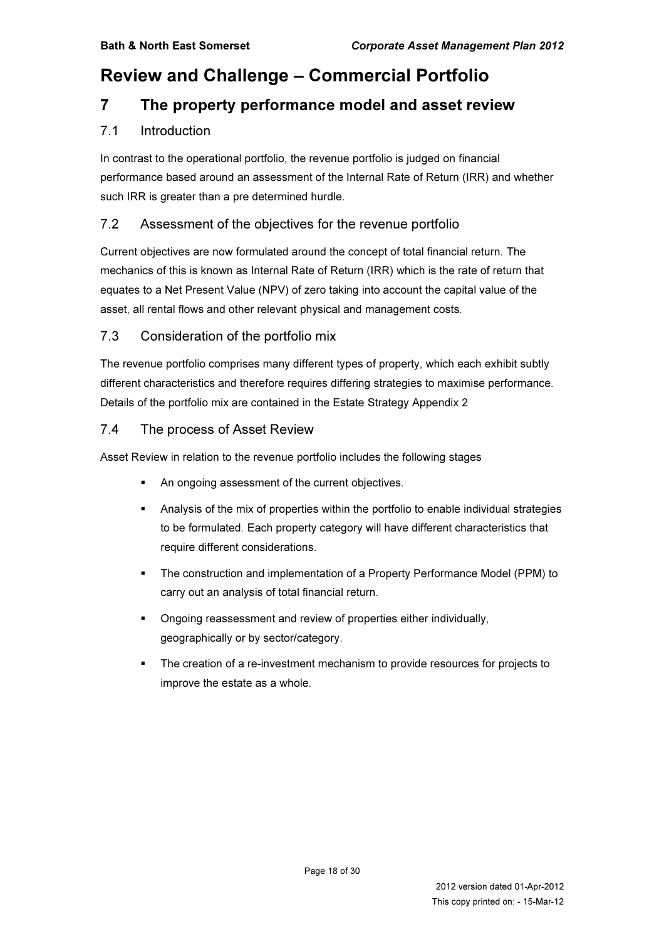# Review and Challenge – Commercial Portfolio

# 7 The property performance model and asset review

#### 7.1 Introduction

In contrast to the operational portfolio, the revenue portfolio is judged on financial performance based around an assessment of the Internal Rate of Return (IRR) and whether such IRR is greater than a pre determined hurdle.

#### 7.2 Assessment of the objectives for the revenue portfolio

Current objectives are now formulated around the concept of total financial return. The mechanics of this is known as Internal Rate of Return (IRR) which is the rate of return that equates to a Net Present Value (NPV) of zero taking into account the capital value of the asset, all rental flows and other relevant physical and management costs.

#### 7.3 Consideration of the portfolio mix

The revenue portfolio comprises many different types of property, which each exhibit subtly different characteristics and therefore requires differing strategies to maximise performance. Details of the portfolio mix are contained in the Estate Strategy Appendix 2

#### 7.4 The process of Asset Review

Asset Review in relation to the revenue portfolio includes the following stages

- An ongoing assessment of the current objectives.
- Analysis of the mix of properties within the portfolio to enable individual strategies to be formulated. Each property category will have different characteristics that require different considerations.
- The construction and implementation of a Property Performance Model (PPM) to carry out an analysis of total financial return.
- Ongoing reassessment and review of properties either individually, geographically or by sector/category.
- The creation of a re-investment mechanism to provide resources for projects to improve the estate as a whole.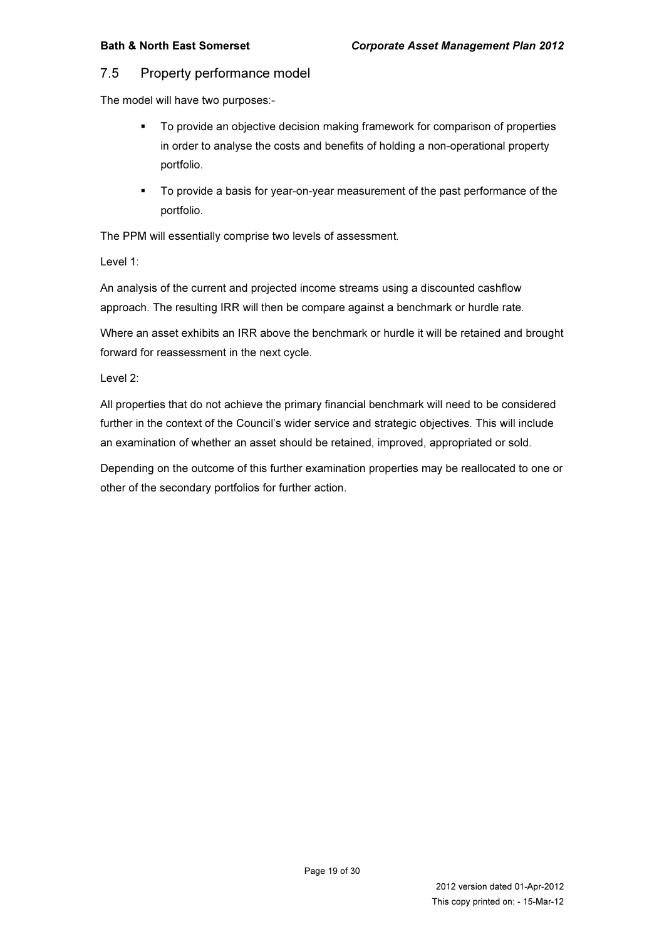#### 7.5 Property performance model

The model will have two purposes:-

- To provide an objective decision making framework for comparison of properties in order to analyse the costs and benefits of holding a non-operational property portfolio.
- To provide a basis for year-on-year measurement of the past performance of the portfolio.

The PPM will essentially comprise two levels of assessment.

Level 1:

An analysis of the current and projected income streams using a discounted cashflow approach. The resulting IRR will then be compare against a benchmark or hurdle rate.

Where an asset exhibits an IRR above the benchmark or hurdle it will be retained and brought forward for reassessment in the next cycle.

Level 2:

All properties that do not achieve the primary financial benchmark will need to be considered further in the context of the Council's wider service and strategic objectives. This will include an examination of whether an asset should be retained, improved, appropriated or sold.

Depending on the outcome of this further examination properties may be reallocated to one or other of the secondary portfolios for further action.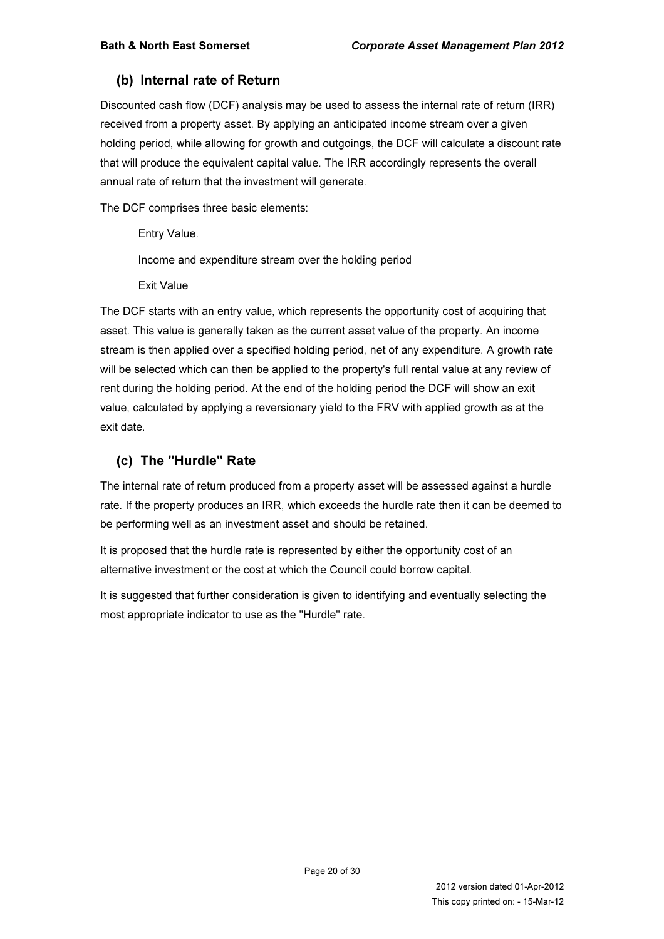#### (b) Internal rate of Return

Discounted cash flow (DCF) analysis may be used to assess the internal rate of return (IRR) received from a property asset. By applying an anticipated income stream over a given holding period, while allowing for growth and outgoings, the DCF will calculate a discount rate that will produce the equivalent capital value. The IRR accordingly represents the overall annual rate of return that the investment will generate.

The DCF comprises three basic elements:

Entry Value. Income and expenditure stream over the holding period Exit Value

The DCF starts with an entry value, which represents the opportunity cost of acquiring that asset. This value is generally taken as the current asset value of the property. An income stream is then applied over a specified holding period, net of any expenditure. A growth rate will be selected which can then be applied to the property's full rental value at any review of rent during the holding period. At the end of the holding period the DCF will show an exit value, calculated by applying a reversionary yield to the FRV with applied growth as at the exit date.

#### (c) The "Hurdle" Rate

The internal rate of return produced from a property asset will be assessed against a hurdle rate. If the property produces an IRR, which exceeds the hurdle rate then it can be deemed to be performing well as an investment asset and should be retained.

It is proposed that the hurdle rate is represented by either the opportunity cost of an alternative investment or the cost at which the Council could borrow capital.

It is suggested that further consideration is given to identifying and eventually selecting the most appropriate indicator to use as the "Hurdle" rate.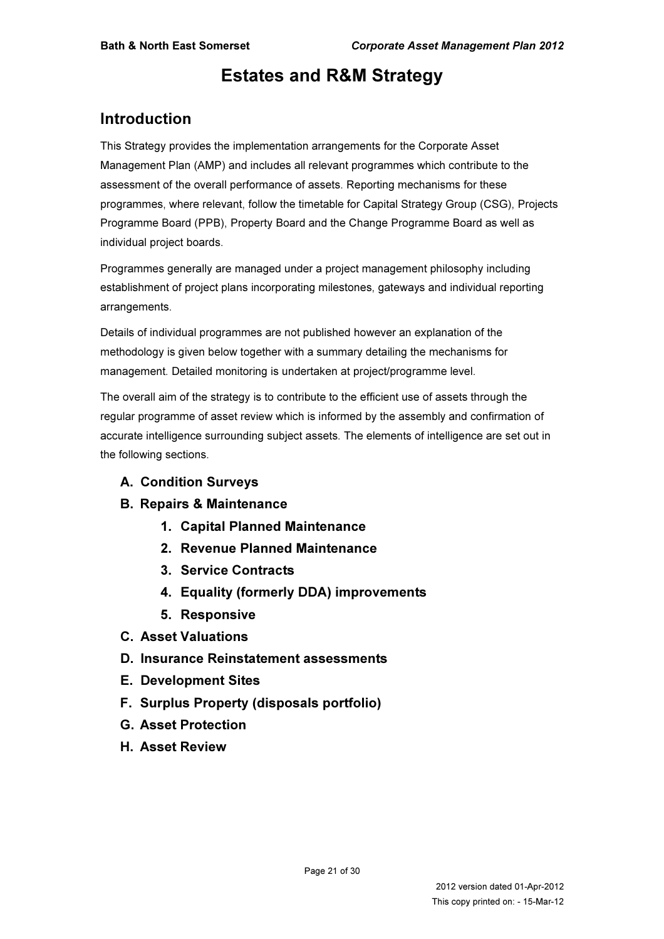# Estates and R&M Strategy

# Introduction

This Strategy provides the implementation arrangements for the Corporate Asset Management Plan (AMP) and includes all relevant programmes which contribute to the assessment of the overall performance of assets. Reporting mechanisms for these programmes, where relevant, follow the timetable for Capital Strategy Group (CSG), Projects Programme Board (PPB), Property Board and the Change Programme Board as well as individual project boards.

Programmes generally are managed under a project management philosophy including establishment of project plans incorporating milestones, gateways and individual reporting arrangements.

Details of individual programmes are not published however an explanation of the methodology is given below together with a summary detailing the mechanisms for management. Detailed monitoring is undertaken at project/programme level.

The overall aim of the strategy is to contribute to the efficient use of assets through the regular programme of asset review which is informed by the assembly and confirmation of accurate intelligence surrounding subject assets. The elements of intelligence are set out in the following sections.

- A. Condition Surveys
- B. Repairs & Maintenance
	- 1. Capital Planned Maintenance
	- 2. Revenue Planned Maintenance
	- 3. Service Contracts
	- 4. Equality (formerly DDA) improvements
	- 5. Responsive
- C. Asset Valuations
- D. Insurance Reinstatement assessments
- E. Development Sites
- F. Surplus Property (disposals portfolio)
- G. Asset Protection
- H. Asset Review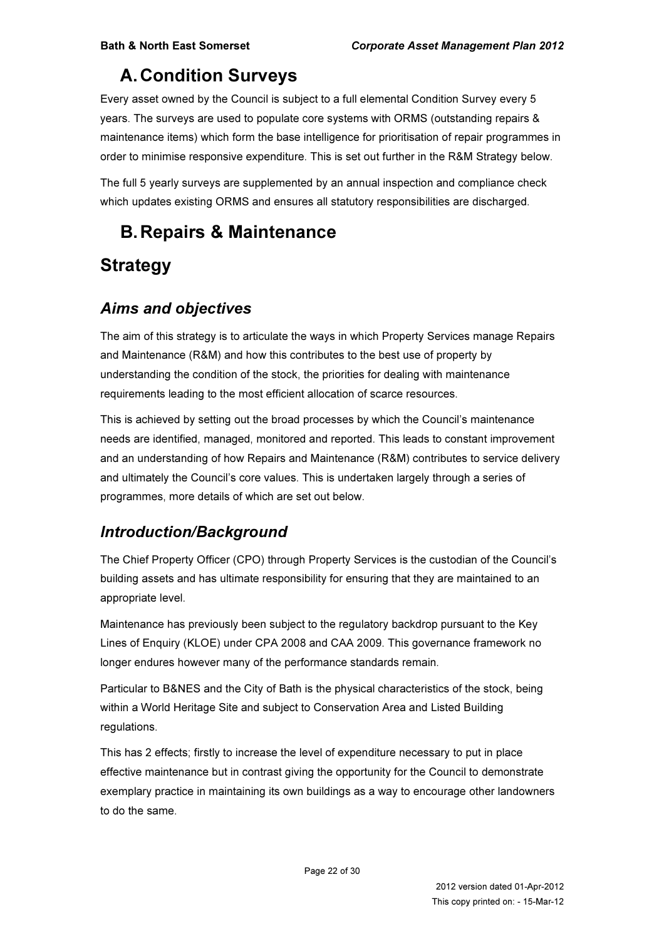# A. Condition Surveys

Every asset owned by the Council is subject to a full elemental Condition Survey every 5 years. The surveys are used to populate core systems with ORMS (outstanding repairs & maintenance items) which form the base intelligence for prioritisation of repair programmes in order to minimise responsive expenditure. This is set out further in the R&M Strategy below.

The full 5 yearly surveys are supplemented by an annual inspection and compliance check which updates existing ORMS and ensures all statutory responsibilities are discharged.

# B. Repairs & Maintenance

# **Strategy**

# Aims and objectives

The aim of this strategy is to articulate the ways in which Property Services manage Repairs and Maintenance (R&M) and how this contributes to the best use of property by understanding the condition of the stock, the priorities for dealing with maintenance requirements leading to the most efficient allocation of scarce resources.

This is achieved by setting out the broad processes by which the Council's maintenance needs are identified, managed, monitored and reported. This leads to constant improvement and an understanding of how Repairs and Maintenance (R&M) contributes to service delivery and ultimately the Council's core values. This is undertaken largely through a series of programmes, more details of which are set out below.

# Introduction/Background

The Chief Property Officer (CPO) through Property Services is the custodian of the Council's building assets and has ultimate responsibility for ensuring that they are maintained to an appropriate level.

Maintenance has previously been subject to the regulatory backdrop pursuant to the Key Lines of Enquiry (KLOE) under CPA 2008 and CAA 2009. This governance framework no longer endures however many of the performance standards remain.

Particular to B&NES and the City of Bath is the physical characteristics of the stock, being within a World Heritage Site and subject to Conservation Area and Listed Building regulations.

This has 2 effects; firstly to increase the level of expenditure necessary to put in place effective maintenance but in contrast giving the opportunity for the Council to demonstrate exemplary practice in maintaining its own buildings as a way to encourage other landowners to do the same.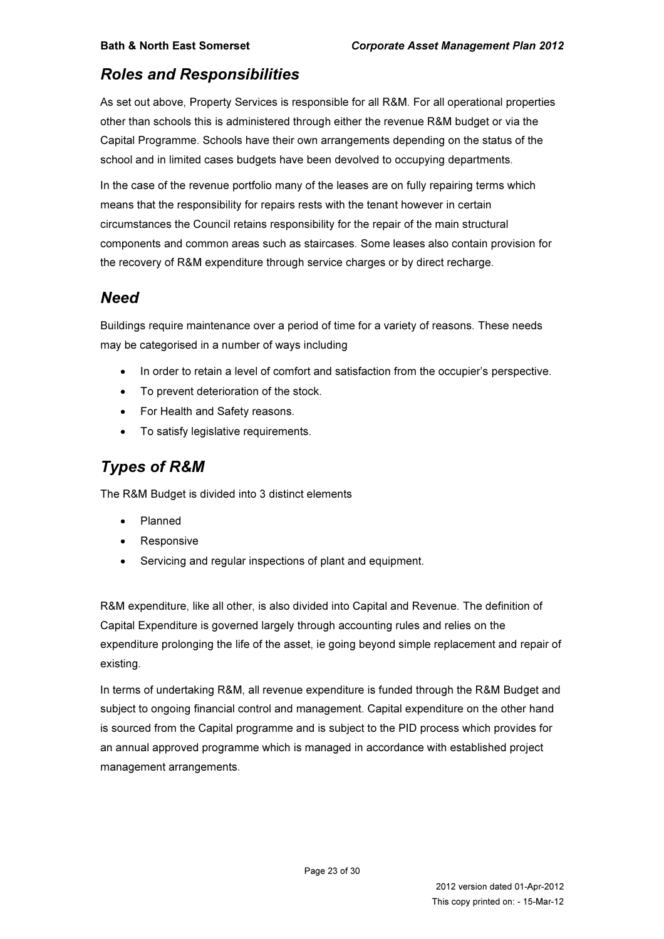# Roles and Responsibilities

As set out above, Property Services is responsible for all R&M. For all operational properties other than schools this is administered through either the revenue R&M budget or via the Capital Programme. Schools have their own arrangements depending on the status of the school and in limited cases budgets have been devolved to occupying departments.

In the case of the revenue portfolio many of the leases are on fully repairing terms which means that the responsibility for repairs rests with the tenant however in certain circumstances the Council retains responsibility for the repair of the main structural components and common areas such as staircases. Some leases also contain provision for the recovery of R&M expenditure through service charges or by direct recharge.

# **Need**

Buildings require maintenance over a period of time for a variety of reasons. These needs may be categorised in a number of ways including

- In order to retain a level of comfort and satisfaction from the occupier's perspective.
- To prevent deterioration of the stock.
- For Health and Safety reasons.
- To satisfy legislative requirements.

# Types of R&M

The R&M Budget is divided into 3 distinct elements

- Planned
- **Responsive**
- Servicing and regular inspections of plant and equipment.

R&M expenditure, like all other, is also divided into Capital and Revenue. The definition of Capital Expenditure is governed largely through accounting rules and relies on the expenditure prolonging the life of the asset, ie going beyond simple replacement and repair of existing.

In terms of undertaking R&M, all revenue expenditure is funded through the R&M Budget and subject to ongoing financial control and management. Capital expenditure on the other hand is sourced from the Capital programme and is subject to the PID process which provides for an annual approved programme which is managed in accordance with established project management arrangements.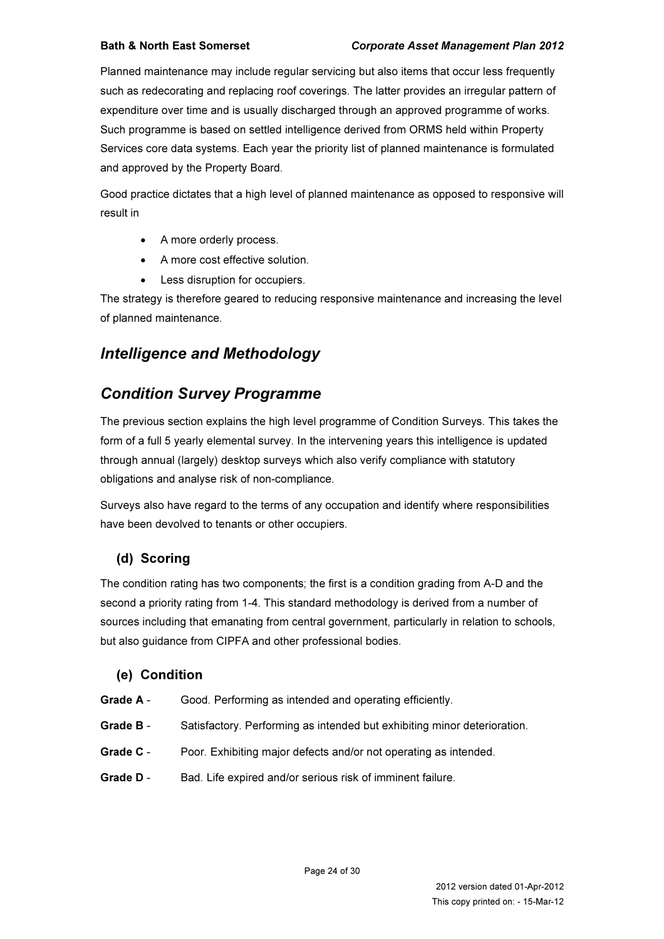Planned maintenance may include regular servicing but also items that occur less frequently such as redecorating and replacing roof coverings. The latter provides an irregular pattern of expenditure over time and is usually discharged through an approved programme of works. Such programme is based on settled intelligence derived from ORMS held within Property Services core data systems. Each year the priority list of planned maintenance is formulated and approved by the Property Board.

Good practice dictates that a high level of planned maintenance as opposed to responsive will result in

- A more orderly process.
- A more cost effective solution.
- Less disruption for occupiers.

The strategy is therefore geared to reducing responsive maintenance and increasing the level of planned maintenance.

# Intelligence and Methodology

# Condition Survey Programme

The previous section explains the high level programme of Condition Surveys. This takes the form of a full 5 yearly elemental survey. In the intervening years this intelligence is updated through annual (largely) desktop surveys which also verify compliance with statutory obligations and analyse risk of non-compliance.

Surveys also have regard to the terms of any occupation and identify where responsibilities have been devolved to tenants or other occupiers.

### (d) Scoring

The condition rating has two components; the first is a condition grading from A-D and the second a priority rating from 1-4. This standard methodology is derived from a number of sources including that emanating from central government, particularly in relation to schools, but also guidance from CIPFA and other professional bodies.

#### (e) Condition

- Grade A Good. Performing as intended and operating efficiently.
- Grade B Satisfactory. Performing as intended but exhibiting minor deterioration.
- Grade C Poor. Exhibiting major defects and/or not operating as intended.
- Grade D Bad. Life expired and/or serious risk of imminent failure.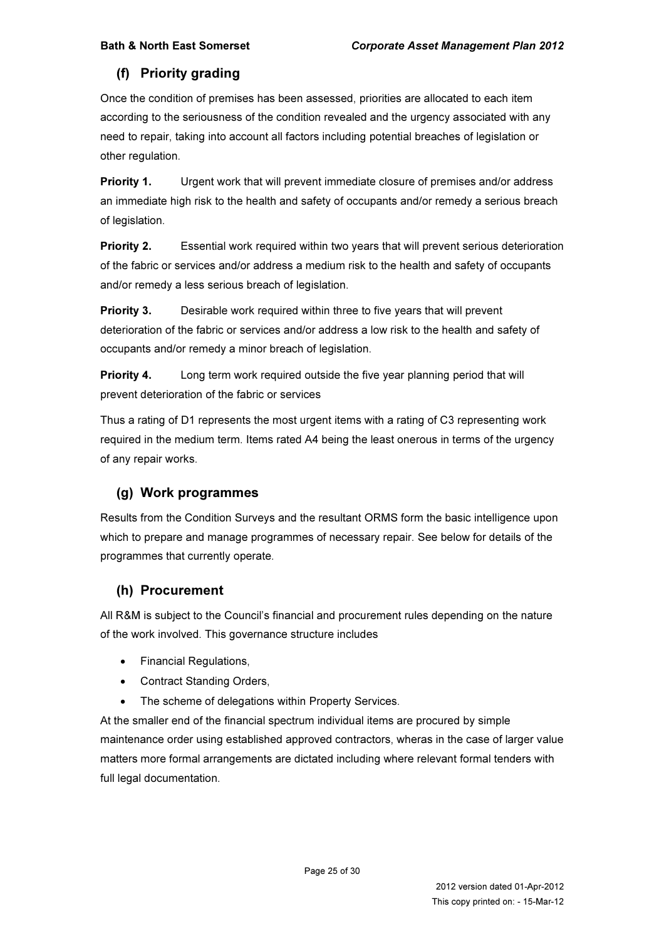### (f) Priority grading

Once the condition of premises has been assessed, priorities are allocated to each item according to the seriousness of the condition revealed and the urgency associated with any need to repair, taking into account all factors including potential breaches of legislation or other regulation.

**Priority 1.** Urgent work that will prevent immediate closure of premises and/or address an immediate high risk to the health and safety of occupants and/or remedy a serious breach of legislation.

**Priority 2.** Essential work required within two years that will prevent serious deterioration of the fabric or services and/or address a medium risk to the health and safety of occupants and/or remedy a less serious breach of legislation.

**Priority 3.** Desirable work required within three to five years that will prevent deterioration of the fabric or services and/or address a low risk to the health and safety of occupants and/or remedy a minor breach of legislation.

**Priority 4.** Long term work required outside the five year planning period that will prevent deterioration of the fabric or services

Thus a rating of D1 represents the most urgent items with a rating of C3 representing work required in the medium term. Items rated A4 being the least onerous in terms of the urgency of any repair works.

### (g) Work programmes

Results from the Condition Surveys and the resultant ORMS form the basic intelligence upon which to prepare and manage programmes of necessary repair. See below for details of the programmes that currently operate.

#### (h) Procurement

All R&M is subject to the Council's financial and procurement rules depending on the nature of the work involved. This governance structure includes

- Financial Regulations,
- Contract Standing Orders,
- The scheme of delegations within Property Services.

At the smaller end of the financial spectrum individual items are procured by simple maintenance order using established approved contractors, wheras in the case of larger value matters more formal arrangements are dictated including where relevant formal tenders with full legal documentation.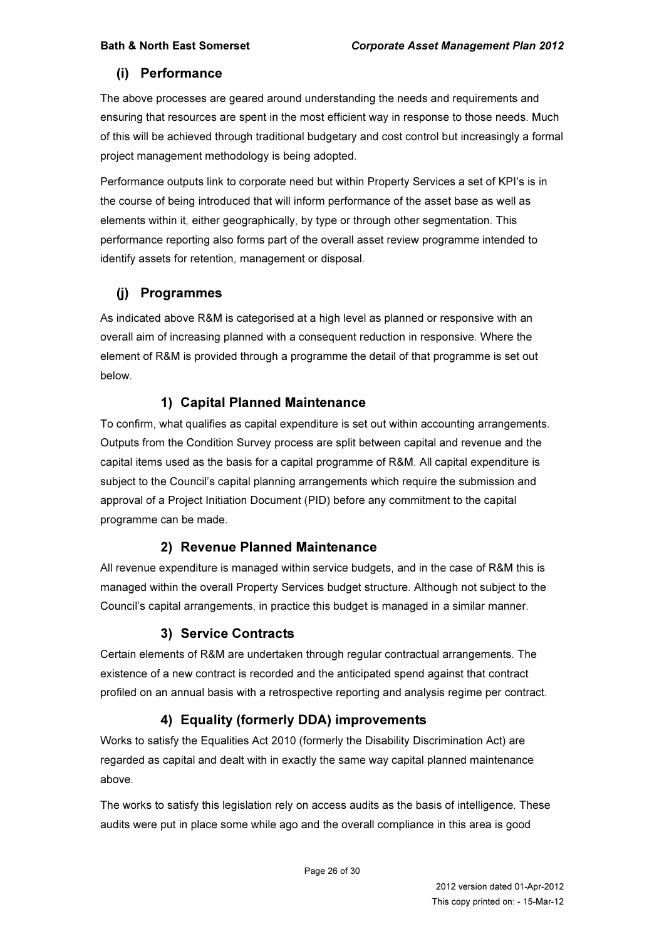#### (i) Performance

The above processes are geared around understanding the needs and requirements and ensuring that resources are spent in the most efficient way in response to those needs. Much of this will be achieved through traditional budgetary and cost control but increasingly a formal project management methodology is being adopted.

Performance outputs link to corporate need but within Property Services a set of KPI's is in the course of being introduced that will inform performance of the asset base as well as elements within it, either geographically, by type or through other segmentation. This performance reporting also forms part of the overall asset review programme intended to identify assets for retention, management or disposal.

### (j) Programmes

As indicated above R&M is categorised at a high level as planned or responsive with an overall aim of increasing planned with a consequent reduction in responsive. Where the element of R&M is provided through a programme the detail of that programme is set out below.

#### 1) Capital Planned Maintenance

To confirm, what qualifies as capital expenditure is set out within accounting arrangements. Outputs from the Condition Survey process are split between capital and revenue and the capital items used as the basis for a capital programme of R&M. All capital expenditure is subject to the Council's capital planning arrangements which require the submission and approval of a Project Initiation Document (PID) before any commitment to the capital programme can be made.

#### 2) Revenue Planned Maintenance

All revenue expenditure is managed within service budgets, and in the case of R&M this is managed within the overall Property Services budget structure. Although not subject to the Council's capital arrangements, in practice this budget is managed in a similar manner.

#### 3) Service Contracts

Certain elements of R&M are undertaken through regular contractual arrangements. The existence of a new contract is recorded and the anticipated spend against that contract profiled on an annual basis with a retrospective reporting and analysis regime per contract.

### 4) Equality (formerly DDA) improvements

Works to satisfy the Equalities Act 2010 (formerly the Disability Discrimination Act) are regarded as capital and dealt with in exactly the same way capital planned maintenance above.

The works to satisfy this legislation rely on access audits as the basis of intelligence. These audits were put in place some while ago and the overall compliance in this area is good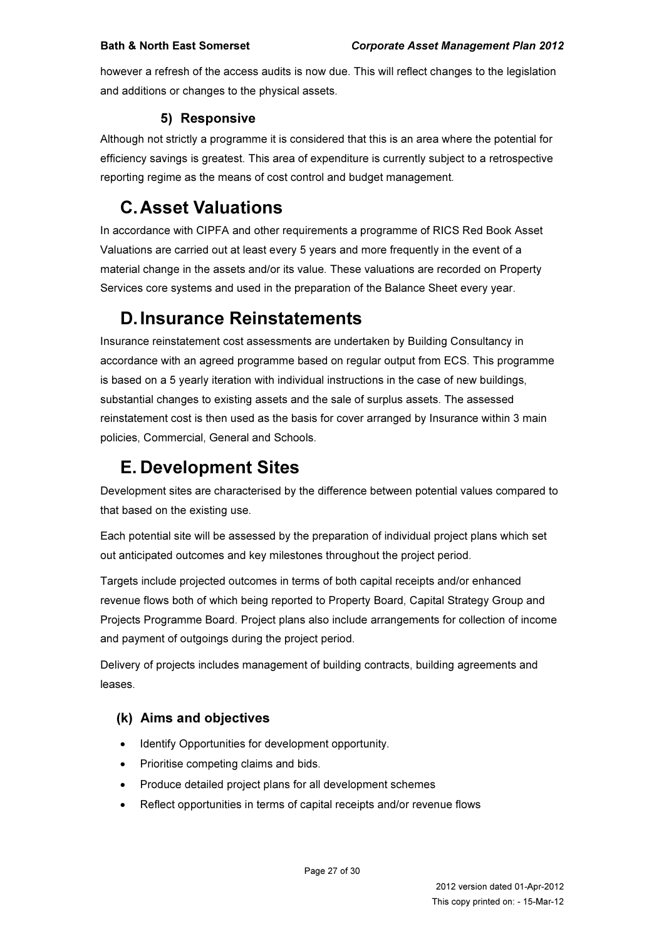however a refresh of the access audits is now due. This will reflect changes to the legislation and additions or changes to the physical assets.

#### 5) Responsive

Although not strictly a programme it is considered that this is an area where the potential for efficiency savings is greatest. This area of expenditure is currently subject to a retrospective reporting regime as the means of cost control and budget management.

# C. Asset Valuations

In accordance with CIPFA and other requirements a programme of RICS Red Book Asset Valuations are carried out at least every 5 years and more frequently in the event of a material change in the assets and/or its value. These valuations are recorded on Property Services core systems and used in the preparation of the Balance Sheet every year.

# D. Insurance Reinstatements

Insurance reinstatement cost assessments are undertaken by Building Consultancy in accordance with an agreed programme based on regular output from ECS. This programme is based on a 5 yearly iteration with individual instructions in the case of new buildings, substantial changes to existing assets and the sale of surplus assets. The assessed reinstatement cost is then used as the basis for cover arranged by Insurance within 3 main policies, Commercial, General and Schools.

# E. Development Sites

Development sites are characterised by the difference between potential values compared to that based on the existing use.

Each potential site will be assessed by the preparation of individual project plans which set out anticipated outcomes and key milestones throughout the project period.

Targets include projected outcomes in terms of both capital receipts and/or enhanced revenue flows both of which being reported to Property Board, Capital Strategy Group and Projects Programme Board. Project plans also include arrangements for collection of income and payment of outgoings during the project period.

Delivery of projects includes management of building contracts, building agreements and leases.

# (k) Aims and objectives

- Identify Opportunities for development opportunity.
- Prioritise competing claims and bids.
- Produce detailed project plans for all development schemes
- Reflect opportunities in terms of capital receipts and/or revenue flows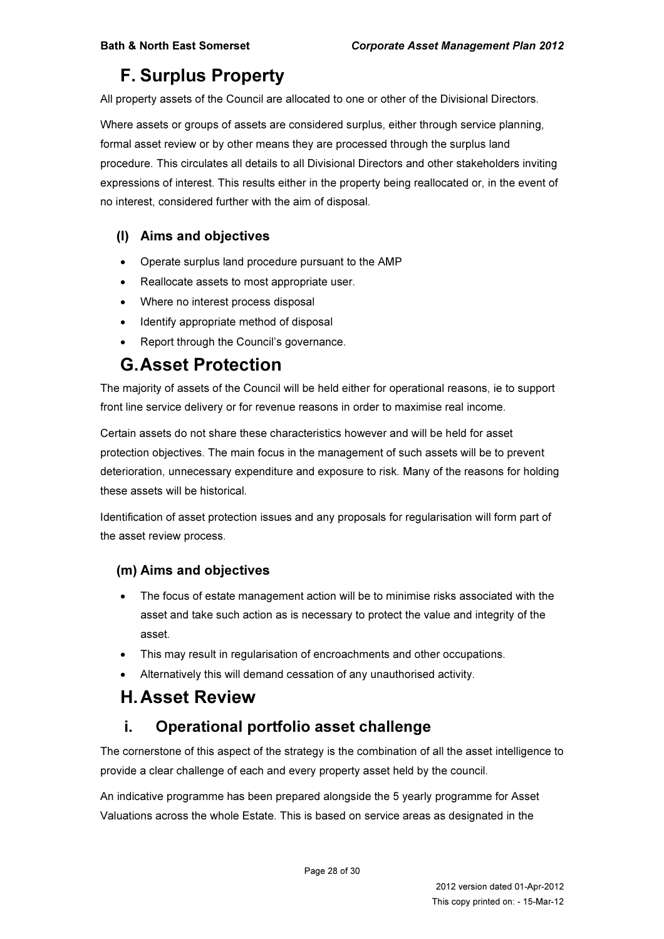# F. Surplus Property

All property assets of the Council are allocated to one or other of the Divisional Directors.

Where assets or groups of assets are considered surplus, either through service planning, formal asset review or by other means they are processed through the surplus land procedure. This circulates all details to all Divisional Directors and other stakeholders inviting expressions of interest. This results either in the property being reallocated or, in the event of no interest, considered further with the aim of disposal.

#### (l) Aims and objectives

- Operate surplus land procedure pursuant to the AMP
- Reallocate assets to most appropriate user.
- Where no interest process disposal
- Identify appropriate method of disposal
- Report through the Council's governance.

# G. Asset Protection

The majority of assets of the Council will be held either for operational reasons, ie to support front line service delivery or for revenue reasons in order to maximise real income.

Certain assets do not share these characteristics however and will be held for asset protection objectives. The main focus in the management of such assets will be to prevent deterioration, unnecessary expenditure and exposure to risk. Many of the reasons for holding these assets will be historical.

Identification of asset protection issues and any proposals for regularisation will form part of the asset review process.

#### (m) Aims and objectives

- The focus of estate management action will be to minimise risks associated with the asset and take such action as is necessary to protect the value and integrity of the asset.
- This may result in regularisation of encroachments and other occupations.
- Alternatively this will demand cessation of any unauthorised activity.

# H. Asset Review

# i. Operational portfolio asset challenge

The cornerstone of this aspect of the strategy is the combination of all the asset intelligence to provide a clear challenge of each and every property asset held by the council.

An indicative programme has been prepared alongside the 5 yearly programme for Asset Valuations across the whole Estate. This is based on service areas as designated in the